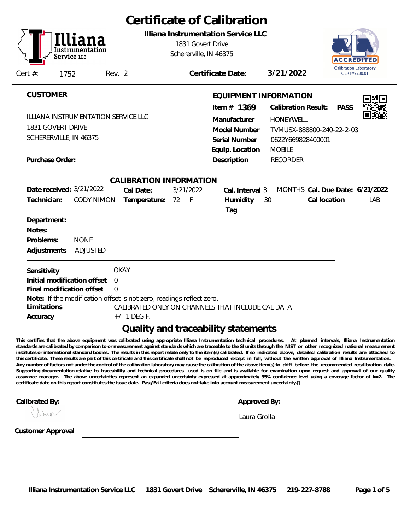| Certificate of Calibration                                                                                                                                                                                                                                                                                                            |                                                                                                                                                                                                                                                |  |  |  |  |  |  |  |
|---------------------------------------------------------------------------------------------------------------------------------------------------------------------------------------------------------------------------------------------------------------------------------------------------------------------------------------|------------------------------------------------------------------------------------------------------------------------------------------------------------------------------------------------------------------------------------------------|--|--|--|--|--|--|--|
| Illiana Instrumentation Service LLC<br>1831 Govert Drive<br>Schererville, IN 46375<br>Service LLC<br>Cert $#$ :<br>1752<br>Rev. 2                                                                                                                                                                                                     | ACCREDIT<br>Calibration Laboratory<br>3/21/2022<br>Certificate Date:<br>CERT#2230.01                                                                                                                                                           |  |  |  |  |  |  |  |
|                                                                                                                                                                                                                                                                                                                                       |                                                                                                                                                                                                                                                |  |  |  |  |  |  |  |
| <b>CUSTOMER</b><br>ILLIANA INSTRUMENTATION SERVICE LLC<br>1831 GOVERT DRIVE<br>SCHERERVILLE, IN 46375                                                                                                                                                                                                                                 | EQUIPMENT INFORMATION<br>Item $#$ 1369<br><b>Calibration Result:</b><br><b>PASS</b><br>Manufacturer<br><b>HONEYWELL</b><br>Model Number<br>TVMUSX-888800-240-22-2-03<br>Serial Number<br>0622Y669828400001<br>Equip. Location<br><b>MOBILE</b> |  |  |  |  |  |  |  |
| Purchase Order:                                                                                                                                                                                                                                                                                                                       | Description<br><b>RECORDER</b>                                                                                                                                                                                                                 |  |  |  |  |  |  |  |
| CALIBRATION INFORMATION<br>Date received: 3/21/2022<br>3/21/2022<br>Cal Date:<br>Technician:<br>$-F$<br>Temperature:<br>72<br><b>CODY NIMON</b><br>Department:<br>Notes:<br>Problems:<br><b>NONE</b><br>Adjustments<br><b>ADJUSTED</b>                                                                                                | MONTHS Cal. Due Date: 6/21/2022<br>Cal. Interval 3<br>Humidity<br>Cal location<br>LAB<br>30<br>Tag                                                                                                                                             |  |  |  |  |  |  |  |
| <b>OKAY</b><br>Sensitivity<br>Initial modification offset<br>$\overline{0}$<br>Final modification offset<br>$\Omega$<br>Note: If the modification offset is not zero, readings reflect zero.<br>Limitations<br>CALIBRATED ONLY ON CHANNELS THAT INCLUDE CAL DATA<br>$+/- 1$ DEG F.<br>Accuracy<br>Quality and traceability statements |                                                                                                                                                                                                                                                |  |  |  |  |  |  |  |

**This certifies that the above equipment was calibrated using appropriate Illiana Instrumentation technical procedures. At planned intervals, Illiana Instrumentation standards are calibrated by comparison to or measurement against standards which are traceable to the SI units through the NIST or other recognized national measurement institutes or international standard bodies. The results in this report relate only to the item(s) calibrated. If so indicated above, detailed calibration results are attached to this certificate. These results are part of this certificate and this certificate shall not be reproduced except in full, without the written approval of Illiana Instrumentation. Any number of factors not under the control of the calibration laboratory may cause the calibration of the above item(s) to drift before the recommended recalibration date. Supporting documentation relative to traceability and technical procedures used is on file and is available for examination upon request and approval of our quality assurance manager. The above uncertainties represent an expanded uncertainty expressed at approximately 95% confidence level using a coverage factor of k=2. The certificate date on this report constitutes the issue date. Pass/Fail criteria does not take into account measurement uncertainty.** 

**Calibrated By: Approved By: Approved By: Approved By: Approved By: Approved By: Approved By: Approved By: Approved By: Approved By: Approved By: Approved By: Approved By: Approved By: Approved** 

|  | Approved By: |  |
|--|--------------|--|

*Laura Grolla*

Incor

**Customer Approval**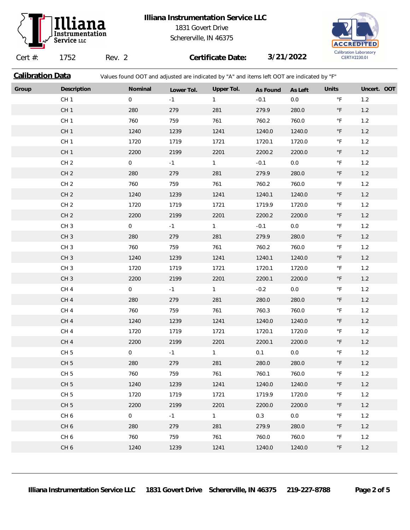

## **Illiana Instrumentation Service LLC** 1831 Govert Drive Schererville, IN 46375



Cert #: 1752 Rev. 2 **Certificate Date: 3/21/2022 Calibration Data** Values found OOT and adjusted are indicated by "A" and items left OOT are indicated by "F" **Group Description Nominal Lower Tol. Upper Tol. As Found As Left Units Uncert. OOT** CH 1 0 -1 1 -0.1 0.0 °F 1.2 CH 1 280 279 281 279.9 280.0 °F 1.2 CH 1 760 759 761 760.2 760.0 °F 1.2 CH 1 1240 1239 1241 1240.0 1240.0 °F 1.2 CH 1 1720 1719 1721 1720.1 1720.0 °F 1.2 CH 1 2200 2199 2201 2200.2 2200.0 °F 1.2 CH 2 0 -1 1 -0.1 0.0 °F 1.2 CH 2 280 279 281 279.9 280.0 °F 1.2 CH 2 760 759 761 760.2 760.0 °F 1.2 CH 2 1240 1239 1241 1240.1 1240.0 °F 1.2 CH 2 1720 1719 1721 1719.9 1720.0 °F 1.2 CH 2 2200 2199 2201 2200.2 2200.0 °F 1.2 CH 3 0 -1 1 -0.1 0.0 °F 1.2 CH 3 280 279 281 279.9 280.0 °F 1.2 CH 3 760 759 761 760.2 760.0 °F 1.2 CH 3 1240 1239 1241 1240.1 1240.0 °F 1.2 CH 3 1720 1719 1721 1720.1 1720.0 °F 1.2 CH 3 2200 2199 2201 2200.1 2200.0 °F 1.2 CH 4 0 -1 1 -0.2 0.0 °F 1.2 CH 4 280 279 281 280.0 280.0 °F 1.2 CH 4 760 759 761 760.3 760.0 °F 1.2 CH 4 1240 1239 1241 1240.0 1240.0 °F 1.2 CH 4 1720 1719 1721 1720.1 1720.0 °F 1.2 CH 4 2200 2199 2201 2200.1 2200.0 °F 1.2 CH 5 0 0 -1 1 0.1 0.0 °F 1.2 CH 5 280 279 281 280.0 280.0 °F 1.2 CH 5 760 760 759 761 760.1 760.0 °F 1.2 CH 5 1240 1239 1241 1240.0 1240.0 °F 1.2 CH 5 1720 1719 1721 1719.9 1720.0 °F 1.2 CH 5 2200 2199 2201 2200.0 2200.0 °F 1.2 CH 6 0 -1 1 0.3 0.0 °F 1.2 CH 6 280 279 281 279.9 280.0 °F 1.2 CH 6 760 759 761 760.0 760.0 °F 1.2 CH 6 1240 1239 1241 1240.0 1240.0 °F 1.2

**Illiana Instrumentation Service LLC 1831 Govert Drive Schererville, IN 46375 219-227-8788 Page 2 of 5**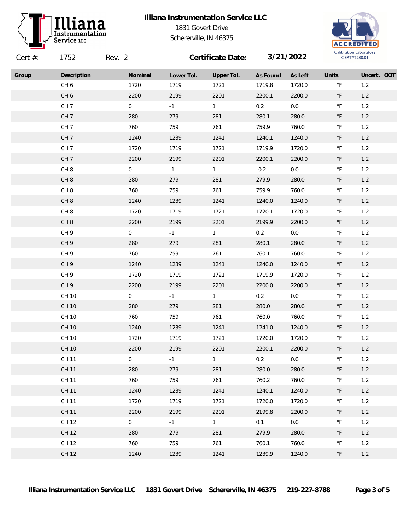

## **Illiana Instrumentation Service LLC** 1831 Govert Drive Schererville, IN 46375



| Cert $#$ : | 1752            | Rev. 2         |            | Certificate Date: |          | 3/21/2022 |                       | Calloration Laboratory<br>CERT#2230.01 |  |
|------------|-----------------|----------------|------------|-------------------|----------|-----------|-----------------------|----------------------------------------|--|
| Group      | Description     | Nominal        | Lower Tol. | Upper Tol.        | As Found | As Left   | Units                 | Uncert. OOT                            |  |
|            | CH <sub>6</sub> | 1720           | 1719       | 1721              | 1719.8   | 1720.0    | $^\circ \mathsf{F}$   | 1.2                                    |  |
|            | CH <sub>6</sub> | 2200           | 2199       | 2201              | 2200.1   | 2200.0    | $^\circ \mathsf{F}$   | $1.2$                                  |  |
|            | CH <sub>7</sub> | $\mathbf 0$    | $-1$       | 1                 | 0.2      | $0.0\,$   | $^\circ \mathsf{F}$   | 1.2                                    |  |
|            | CH <sub>7</sub> | 280            | 279        | 281               | 280.1    | 280.0     | $^{\circ} \mathsf{F}$ | 1.2                                    |  |
|            | CH <sub>7</sub> | 760            | 759        | 761               | 759.9    | 760.0     | $^\circ\mathsf{F}$    | 1.2                                    |  |
|            | CH <sub>7</sub> | 1240           | 1239       | 1241              | 1240.1   | 1240.0    | $^\circ \mathsf{F}$   | $1.2\,$                                |  |
|            | CH <sub>7</sub> | 1720           | 1719       | 1721              | 1719.9   | 1720.0    | $^\circ\mathsf{F}$    | $1.2$                                  |  |
|            | CH <sub>7</sub> | 2200           | 2199       | 2201              | 2200.1   | 2200.0    | $^\circ \mathsf{F}$   | 1.2                                    |  |
|            | CH <sub>8</sub> | $\overline{0}$ | $-1$       | 1                 | $-0.2$   | $0.0\,$   | $^\circ\mathsf{F}$    | $1.2$                                  |  |
|            | CH <sub>8</sub> | 280            | 279        | 281               | 279.9    | 280.0     | $^\circ \mathsf{F}$   | $1.2\,$                                |  |
|            | CH <sub>8</sub> | 760            | 759        | 761               | 759.9    | 760.0     | $^\circ \mathsf{F}$   | 1.2                                    |  |
|            | CH <sub>8</sub> | 1240           | 1239       | 1241              | 1240.0   | 1240.0    | $^{\circ} \mathsf{F}$ | 1.2                                    |  |
|            | CH <sub>8</sub> | 1720           | 1719       | 1721              | 1720.1   | 1720.0    | $^\circ\mathsf{F}$    | $1.2$                                  |  |
|            | CH <sub>8</sub> | 2200           | 2199       | 2201              | 2199.9   | 2200.0    | $^{\circ} \mathsf{F}$ | $1.2\,$                                |  |
|            | CH <sub>9</sub> | $\overline{0}$ | $-1$       | 1                 | 0.2      | $0.0\,$   | $^\circ \mathsf{F}$   | 1.2                                    |  |
|            | CH <sub>9</sub> | 280            | 279        | 281               | 280.1    | 280.0     | $^\circ \mathsf{F}$   | $1.2$                                  |  |
|            | CH <sub>9</sub> | 760            | 759        | 761               | 760.1    | 760.0     | $^\circ\mathsf{F}$    | 1.2                                    |  |
|            | CH <sub>9</sub> | 1240           | 1239       | 1241              | 1240.0   | 1240.0    | $^\circ\mathsf{F}$    | $1.2\,$                                |  |
|            | CH <sub>9</sub> | 1720           | 1719       | 1721              | 1719.9   | 1720.0    | $^\circ \mathsf{F}$   | $1.2$                                  |  |
|            | CH <sub>9</sub> | 2200           | 2199       | 2201              | 2200.0   | 2200.0    | $^\circ \mathsf{F}$   | 1.2                                    |  |
|            | CH 10           | $\overline{0}$ | $-1$       | $\mathbf{1}$      | 0.2      | $0.0\,$   | $^\circ\mathsf{F}$    | 1.2                                    |  |
|            | CH 10           | 280            | 279        | 281               | 280.0    | 280.0     | $^\circ \mathsf{F}$   | $1.2\,$                                |  |
|            | CH 10           | 760            | 759        | 761               | 760.0    | 760.0     | $^\circ \mathsf{F}$   | $1.2$                                  |  |
|            | CH 10           | 1240           | 1239       | 1241              | 1241.0   | 1240.0    | $^\circ \mathsf{F}$   | 1.2                                    |  |
|            | CH 10           | 1720           | 1719       | 1721              | 1720.0   | 1720.0    | $\degree$ F           | 1.2                                    |  |
|            | CH 10           | 2200           | 2199       | 2201              | 2200.1   | 2200.0    | $^\circ \mathsf{F}$   | $1.2\,$                                |  |
|            | <b>CH 11</b>    | $\mathbf 0$    | $-1$       | $\mathbf{1}$      | 0.2      | 0.0       | $^\circ \mathsf{F}$   | 1.2                                    |  |
|            | <b>CH 11</b>    | 280            | 279        | 281               | 280.0    | 280.0     | $^{\circ} \mathsf{F}$ | 1.2                                    |  |
|            | CH 11           | 760            | 759        | 761               | 760.2    | 760.0     | $^{\circ}$ F          | 1.2                                    |  |
|            | <b>CH 11</b>    | 1240           | 1239       | 1241              | 1240.1   | 1240.0    | $^{\circ} \mathsf{F}$ | 1.2                                    |  |
|            | CH 11           | 1720           | 1719       | 1721              | 1720.0   | 1720.0    | $^{\circ} \mathsf{F}$ | 1.2                                    |  |
|            | <b>CH 11</b>    | 2200           | 2199       | 2201              | 2199.8   | 2200.0    | $^\circ \mathsf{F}$   | 1.2                                    |  |
|            | CH 12           | $\overline{0}$ | $-1$       | 1                 | 0.1      | 0.0       | $^\circ \mathsf{F}$   | 1.2                                    |  |
|            | <b>CH 12</b>    | 280            | 279        | 281               | 279.9    | 280.0     | $\degree$ F           | 1.2                                    |  |
|            | CH 12           | 760            | 759        | 761               | 760.1    | 760.0     | $\degree$ F           | 1.2                                    |  |
|            | CH 12           | 1240           | 1239       | 1241              | 1239.9   | 1240.0    | $^\circ \mathsf{F}$   | 1.2                                    |  |
|            |                 |                |            |                   |          |           |                       |                                        |  |

**Illiana Instrumentation Service LLC 1831 Govert Drive Schererville, IN 46375 219-227-8788 Page 3 of 5**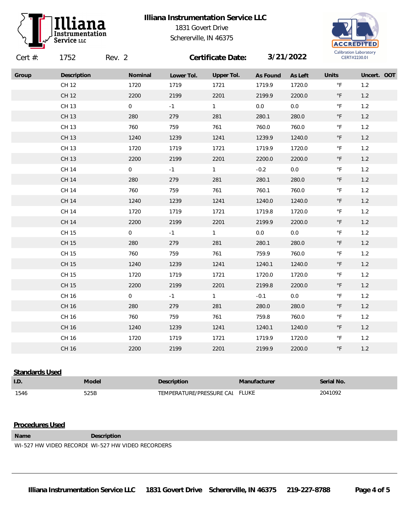

## **Illiana Instrumentation Service LLC** 1831 Govert Drive Schererville, IN 46375



| Cert $#$ : | 1752         | Rev. 2 |                |            | Certificate Date: |          | 3/21/2022 | Callbration Laboratory<br>CERT#2230.01 |             |  |
|------------|--------------|--------|----------------|------------|-------------------|----------|-----------|----------------------------------------|-------------|--|
| Group      | Description  |        | Nominal        | Lower Tol. | Upper Tol.        | As Found | As Left   | Units                                  | Uncert. OOT |  |
|            | CH 12        |        | 1720           | 1719       | 1721              | 1719.9   | 1720.0    | $^\circ \mathsf{F}$                    | 1.2         |  |
|            | CH 12        |        | 2200           | 2199       | 2201              | 2199.9   | 2200.0    | $^\circ \mathsf{F}$                    | $1.2$       |  |
|            | CH 13        |        | $\overline{0}$ | $-1$       | 1                 | $0.0\,$  | $0.0\,$   | $^\circ \mathsf{F}$                    | 1.2         |  |
|            | CH 13        |        | 280            | 279        | 281               | 280.1    | 280.0     | $^\circ \mathsf{F}$                    | $1.2$       |  |
|            | CH 13        |        | 760            | 759        | 761               | 760.0    | 760.0     | $^\circ \mathsf{F}$                    | $1.2$       |  |
|            | CH 13        |        | 1240           | 1239       | 1241              | 1239.9   | 1240.0    | $^\circ \mathsf{F}$                    | $1.2$       |  |
|            | CH 13        |        | 1720           | 1719       | 1721              | 1719.9   | 1720.0    | $^\circ\mathsf{F}$                     | $1.2$       |  |
|            | CH 13        |        | 2200           | 2199       | 2201              | 2200.0   | 2200.0    | $^\circ \mathsf{F}$                    | $1.2$       |  |
|            | CH 14        |        | $\overline{0}$ | $-1$       | $\mathbf{1}$      | $-0.2$   | 0.0       | $^\circ\mathsf{F}$                     | $1.2$       |  |
|            | <b>CH 14</b> |        | 280            | 279        | 281               | 280.1    | 280.0     | $^\circ \mathsf{F}$                    | $1.2$       |  |
|            | CH 14        |        | 760            | 759        | 761               | 760.1    | 760.0     | $^\circ \mathsf{F}$                    | $1.2$       |  |
|            | <b>CH 14</b> |        | 1240           | 1239       | 1241              | 1240.0   | 1240.0    | $^\circ \mathsf{F}$                    | $1.2$       |  |
|            | CH 14        |        | 1720           | 1719       | 1721              | 1719.8   | 1720.0    | $^\circ \mathsf{F}$                    | $1.2$       |  |
|            | CH 14        |        | 2200           | 2199       | 2201              | 2199.9   | 2200.0    | $^\circ \mathsf{F}$                    | 1.2         |  |
|            | CH 15        |        | $\overline{0}$ | $-1$       | 1                 | $0.0\,$  | $0.0\,$   | $^\circ \mathsf{F}$                    | $1.2$       |  |
|            | CH 15        |        | 280            | 279        | 281               | 280.1    | 280.0     | $^\circ \mathsf{F}$                    | $1.2$       |  |
|            | CH 15        |        | 760            | 759        | 761               | 759.9    | 760.0     | $^\circ\mathsf{F}$                     | 1.2         |  |
|            | CH 15        |        | 1240           | 1239       | 1241              | 1240.1   | 1240.0    | $^\circ \mathsf{F}$                    | $1.2$       |  |
|            | CH 15        |        | 1720           | 1719       | 1721              | 1720.0   | 1720.0    | $^\circ \mathsf{F}$                    | $1.2$       |  |
|            | CH 15        |        | 2200           | 2199       | 2201              | 2199.8   | 2200.0    | $^\circ \mathsf{F}$                    | $1.2$       |  |
|            | CH 16        |        | $\overline{0}$ | $-1$       | $\mathbf{1}$      | $-0.1$   | 0.0       | $\circ$ F                              | $1.2$       |  |
|            | CH 16        |        | 280            | 279        | 281               | 280.0    | 280.0     | $^\circ \mathsf{F}$                    | $1.2$       |  |
|            | CH 16        |        | 760            | 759        | 761               | 759.8    | 760.0     | $^\circ \mathsf{F}$                    | $1.2\,$     |  |
|            | CH 16        |        | 1240           | 1239       | 1241              | 1240.1   | 1240.0    | $^\circ \mathsf{F}$                    | $1.2$       |  |
|            | CH 16        |        | 1720           | 1719       | 1721              | 1719.9   | 1720.0    | $^\circ \mathsf{F}$                    | $1.2$       |  |
|            | CH 16        |        | 2200           | 2199       | 2201              | 2199.9   | 2200.0    | $^\circ \mathsf{F}$                    | 1.2         |  |

**Standards Used I.D. Model Description Manufacturer Serial No.** 1546 525B 525B TEMPERATURE/PRESSURE CALIFLUKE 2041092

## **Procedures Used**

**Name Description**

WI-527 HW VIDEO RECORDE WI-527 HW VIDEO RECORDERS

**Illiana Instrumentation Service LLC 1831 Govert Drive Schererville, IN 46375 219-227-8788 Page 4 of 5**